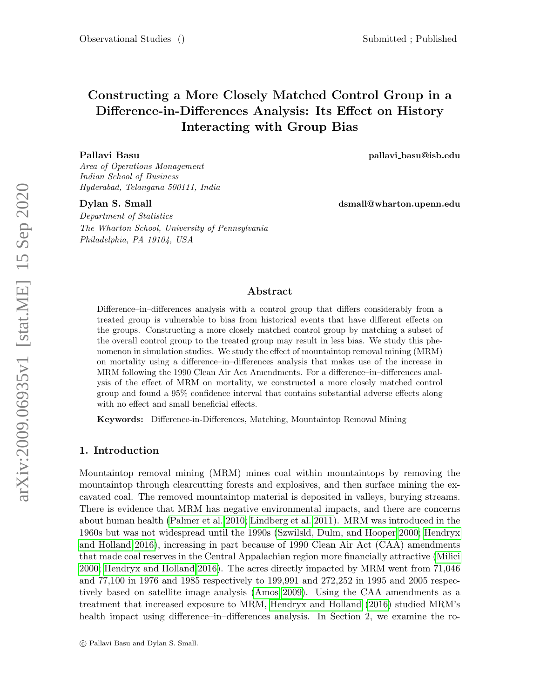# Constructing a More Closely Matched Control Group in a Difference-in-Differences Analysis: Its Effect on History Interacting with Group Bias

Area of Operations Management Indian School of Business Hyderabad, Telangana 500111, India

Pallavi Basu pallavi basu@isb.edu

Dylan S. Small dsmall@wharton.upenn.edu

Department of Statistics The Wharton School, University of Pennsylvania Philadelphia, PA 19104, USA

# Abstract

Difference–in–differences analysis with a control group that differs considerably from a treated group is vulnerable to bias from historical events that have different effects on the groups. Constructing a more closely matched control group by matching a subset of the overall control group to the treated group may result in less bias. We study this phenomenon in simulation studies. We study the effect of mountaintop removal mining (MRM) on mortality using a difference–in–differences analysis that makes use of the increase in MRM following the 1990 Clean Air Act Amendments. For a difference–in–differences analysis of the effect of MRM on mortality, we constructed a more closely matched control group and found a 95% confidence interval that contains substantial adverse effects along with no effect and small beneficial effects.

Keywords: Difference-in-Differences, Matching, Mountaintop Removal Mining

### 1. Introduction

Mountaintop removal mining (MRM) mines coal within mountaintops by removing the mountaintop through clearcutting forests and explosives, and then surface mining the excavated coal. The removed mountaintop material is deposited in valleys, burying streams. There is evidence that MRM has negative environmental impacts, and there are concerns about human health [\(Palmer et al. 2010;](#page-27-0) [Lindberg et al. 2011\)](#page-26-0). MRM was introduced in the 1960s but was not widespread until the 1990s [\(Szwilsld, Dulm, and Hooper 2000;](#page-27-1) [Hendryx](#page-26-1) [and Holland 2016\)](#page-26-1), increasing in part because of 1990 Clean Air Act (CAA) amendments that made coal reserves in the Central Appalachian region more financially attractive [\(Milici](#page-26-2) [2000;](#page-26-2) [Hendryx and Holland 2016\)](#page-26-1). The acres directly impacted by MRM went from 71,046 and 77,100 in 1976 and 1985 respectively to 199,991 and 272,252 in 1995 and 2005 respectively based on satellite image analysis [\(Amos 2009\)](#page-24-0). Using the CAA amendments as a treatment that increased exposure to MRM, [Hendryx and Holland](#page-26-1) [\(2016\)](#page-26-1) studied MRM's health impact using difference–in–differences analysis. In Section 2, we examine the ro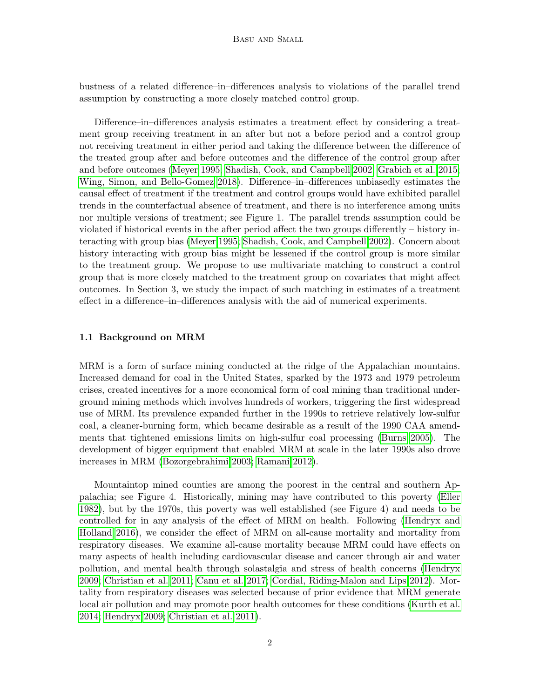bustness of a related difference–in–differences analysis to violations of the parallel trend assumption by constructing a more closely matched control group.

Difference–in–differences analysis estimates a treatment effect by considering a treatment group receiving treatment in an after but not a before period and a control group not receiving treatment in either period and taking the difference between the difference of the treated group after and before outcomes and the difference of the control group after and before outcomes [\(Meyer 1995;](#page-26-3) [Shadish, Cook, and Campbell 2002;](#page-27-2) [Grabich et al. 2015;](#page-25-0) [Wing, Simon, and Bello-Gomez 2018\)](#page-27-3). Difference–in–differences unbiasedly estimates the causal effect of treatment if the treatment and control groups would have exhibited parallel trends in the counterfactual absence of treatment, and there is no interference among units nor multiple versions of treatment; see Figure 1. The parallel trends assumption could be violated if historical events in the after period affect the two groups differently – history interacting with group bias [\(Meyer 1995;](#page-26-3) [Shadish, Cook, and Campbell 2002\)](#page-27-2). Concern about history interacting with group bias might be lessened if the control group is more similar to the treatment group. We propose to use multivariate matching to construct a control group that is more closely matched to the treatment group on covariates that might affect outcomes. In Section 3, we study the impact of such matching in estimates of a treatment effect in a difference–in–differences analysis with the aid of numerical experiments.

### 1.1 Background on MRM

MRM is a form of surface mining conducted at the ridge of the Appalachian mountains. Increased demand for coal in the United States, sparked by the 1973 and 1979 petroleum crises, created incentives for a more economical form of coal mining than traditional underground mining methods which involves hundreds of workers, triggering the first widespread use of MRM. Its prevalence expanded further in the 1990s to retrieve relatively low-sulfur coal, a cleaner-burning form, which became desirable as a result of the 1990 CAA amendments that tightened emissions limits on high-sulfur coal processing [\(Burns 2005\)](#page-24-1). The development of bigger equipment that enabled MRM at scale in the later 1990s also drove increases in MRM [\(Bozorgebrahimi 2003;](#page-24-2) [Ramani 2012\)](#page-27-4).

Mountaintop mined counties are among the poorest in the central and southern Appalachia; see Figure 4. Historically, mining may have contributed to this poverty [\(Eller](#page-25-1) [1982\)](#page-25-1), but by the 1970s, this poverty was well established (see Figure 4) and needs to be controlled for in any analysis of the effect of MRM on health. Following [\(Hendryx and](#page-26-1) [Holland 2016\)](#page-26-1), we consider the effect of MRM on all-cause mortality and mortality from respiratory diseases. We examine all-cause mortality because MRM could have effects on many aspects of health including cardiovascular disease and cancer through air and water pollution, and mental health through solastalgia and stress of health concerns [\(Hendryx](#page-26-4) [2009;](#page-26-4) [Christian et al. 2011;](#page-25-2) [Canu et al. 2017;](#page-25-3) [Cordial, Riding-Malon and Lips 2012\)](#page-25-4). Mortality from respiratory diseases was selected because of prior evidence that MRM generate local air pollution and may promote poor health outcomes for these conditions [\(Kurth et al.](#page-26-5) [2014;](#page-26-5) [Hendryx 2009;](#page-26-4) [Christian et al. 2011\)](#page-25-2).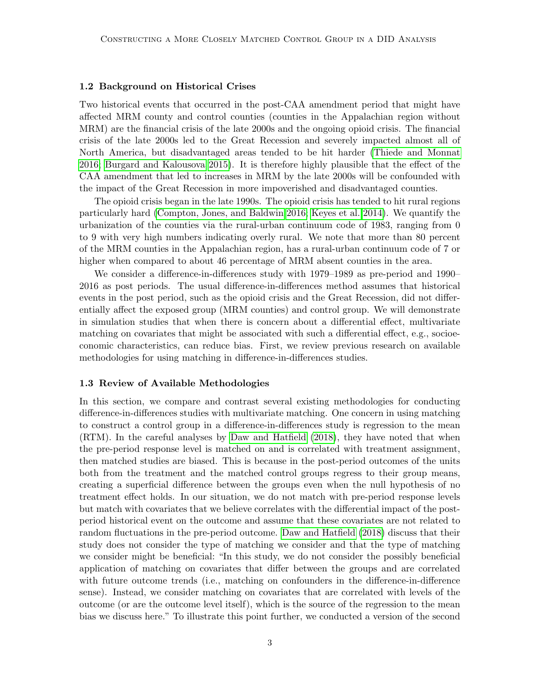#### 1.2 Background on Historical Crises

Two historical events that occurred in the post-CAA amendment period that might have affected MRM county and control counties (counties in the Appalachian region without MRM) are the financial crisis of the late 2000s and the ongoing opioid crisis. The financial crisis of the late 2000s led to the Great Recession and severely impacted almost all of North America, but disadvantaged areas tended to be hit harder [\(Thiede and Monnat](#page-27-5) [2016;](#page-27-5) [Burgard and Kalousova 2015\)](#page-24-3). It is therefore highly plausible that the effect of the CAA amendment that led to increases in MRM by the late 2000s will be confounded with the impact of the Great Recession in more impoverished and disadvantaged counties.

The opioid crisis began in the late 1990s. The opioid crisis has tended to hit rural regions particularly hard [\(Compton, Jones, and Baldwin 2016;](#page-25-5) [Keyes et al. 2014\)](#page-26-6). We quantify the urbanization of the counties via the rural-urban continuum code of 1983, ranging from 0 to 9 with very high numbers indicating overly rural. We note that more than 80 percent of the MRM counties in the Appalachian region, has a rural-urban continuum code of 7 or higher when compared to about 46 percentage of MRM absent counties in the area.

We consider a difference-in-differences study with 1979–1989 as pre-period and 1990– 2016 as post periods. The usual difference-in-differences method assumes that historical events in the post period, such as the opioid crisis and the Great Recession, did not differentially affect the exposed group (MRM counties) and control group. We will demonstrate in simulation studies that when there is concern about a differential effect, multivariate matching on covariates that might be associated with such a differential effect, e.g., socioeconomic characteristics, can reduce bias. First, we review previous research on available methodologies for using matching in difference-in-differences studies.

#### 1.3 Review of Available Methodologies

In this section, we compare and contrast several existing methodologies for conducting difference-in-differences studies with multivariate matching. One concern in using matching to construct a control group in a difference-in-differences study is regression to the mean (RTM). In the careful analyses by [Daw and Hatfield](#page-25-6) [\(2018\)](#page-25-6), they have noted that when the pre-period response level is matched on and is correlated with treatment assignment, then matched studies are biased. This is because in the post-period outcomes of the units both from the treatment and the matched control groups regress to their group means, creating a superficial difference between the groups even when the null hypothesis of no treatment effect holds. In our situation, we do not match with pre-period response levels but match with covariates that we believe correlates with the differential impact of the postperiod historical event on the outcome and assume that these covariates are not related to random fluctuations in the pre-period outcome. [Daw and Hatfield](#page-25-6) [\(2018\)](#page-25-6) discuss that their study does not consider the type of matching we consider and that the type of matching we consider might be beneficial: "In this study, we do not consider the possibly beneficial application of matching on covariates that differ between the groups and are correlated with future outcome trends (i.e., matching on confounders in the difference-in-difference sense). Instead, we consider matching on covariates that are correlated with levels of the outcome (or are the outcome level itself), which is the source of the regression to the mean bias we discuss here." To illustrate this point further, we conducted a version of the second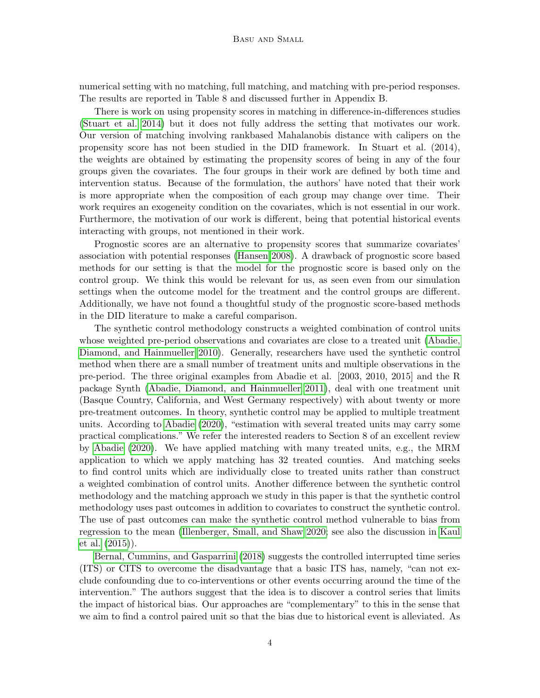numerical setting with no matching, full matching, and matching with pre-period responses. The results are reported in Table 8 and discussed further in Appendix B.

There is work on using propensity scores in matching in difference-in-differences studies [\(Stuart et al. 2014\)](#page-27-6) but it does not fully address the setting that motivates our work. Our version of matching involving rankbased Mahalanobis distance with calipers on the propensity score has not been studied in the DID framework. In Stuart et al. (2014), the weights are obtained by estimating the propensity scores of being in any of the four groups given the covariates. The four groups in their work are defined by both time and intervention status. Because of the formulation, the authors' have noted that their work is more appropriate when the composition of each group may change over time. Their work requires an exogeneity condition on the covariates, which is not essential in our work. Furthermore, the motivation of our work is different, being that potential historical events interacting with groups, not mentioned in their work.

Prognostic scores are an alternative to propensity scores that summarize covariates' association with potential responses [\(Hansen 2008\)](#page-25-7). A drawback of prognostic score based methods for our setting is that the model for the prognostic score is based only on the control group. We think this would be relevant for us, as seen even from our simulation settings when the outcome model for the treatment and the control groups are different. Additionally, we have not found a thoughtful study of the prognostic score-based methods in the DID literature to make a careful comparison.

The synthetic control methodology constructs a weighted combination of control units whose weighted pre-period observations and covariates are close to a treated unit [\(Abadie,](#page-24-4) [Diamond, and Hainmueller 2010\)](#page-24-4). Generally, researchers have used the synthetic control method when there are a small number of treatment units and multiple observations in the pre-period. The three original examples from Abadie et al. [2003, 2010, 2015] and the R package Synth [\(Abadie, Diamond, and Hainmueller 2011\)](#page-24-5), deal with one treatment unit (Basque Country, California, and West Germany respectively) with about twenty or more pre-treatment outcomes. In theory, synthetic control may be applied to multiple treatment units. According to [Abadie](#page-24-6) [\(2020\)](#page-24-6), "estimation with several treated units may carry some practical complications." We refer the interested readers to Section 8 of an excellent review by [Abadie](#page-24-6) [\(2020\)](#page-24-6). We have applied matching with many treated units, e.g., the MRM application to which we apply matching has 32 treated counties. And matching seeks to find control units which are individually close to treated units rather than construct a weighted combination of control units. Another difference between the synthetic control methodology and the matching approach we study in this paper is that the synthetic control methodology uses past outcomes in addition to covariates to construct the synthetic control. The use of past outcomes can make the synthetic control method vulnerable to bias from regression to the mean [\(Illenberger, Small, and Shaw 2020;](#page-26-7) see also the discussion in [Kaul](#page-26-8) [et al.](#page-26-8) [\(2015\)](#page-26-8)).

[Bernal, Cummins, and Gasparrini](#page-24-7) [\(2018\)](#page-24-7) suggests the controlled interrupted time series (ITS) or CITS to overcome the disadvantage that a basic ITS has, namely, "can not exclude confounding due to co-interventions or other events occurring around the time of the intervention." The authors suggest that the idea is to discover a control series that limits the impact of historical bias. Our approaches are "complementary" to this in the sense that we aim to find a control paired unit so that the bias due to historical event is alleviated. As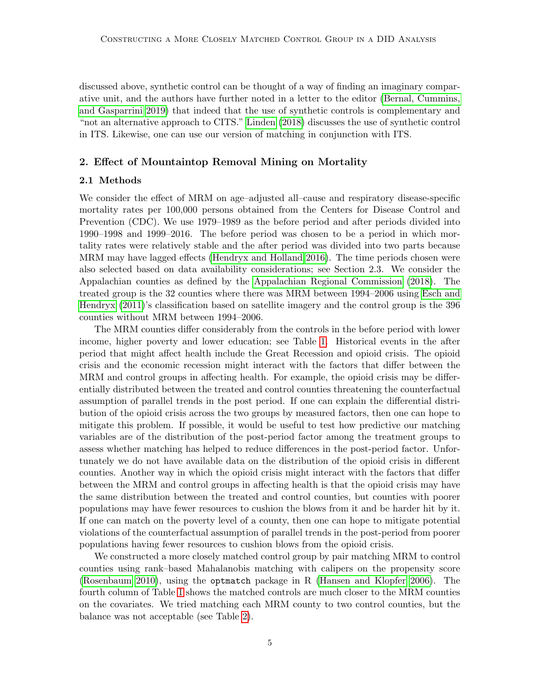discussed above, synthetic control can be thought of a way of finding an imaginary comparative unit, and the authors have further noted in a letter to the editor [\(Bernal, Cummins,](#page-24-8) [and Gasparrini 2019\)](#page-24-8) that indeed that the use of synthetic controls is complementary and "not an alternative approach to CITS." [Linden](#page-26-9) [\(2018\)](#page-26-9) discusses the use of synthetic control in ITS. Likewise, one can use our version of matching in conjunction with ITS.

# 2. Effect of Mountaintop Removal Mining on Mortality

#### 2.1 Methods

We consider the effect of MRM on age–adjusted all–cause and respiratory disease-specific mortality rates per 100,000 persons obtained from the Centers for Disease Control and Prevention (CDC). We use 1979–1989 as the before period and after periods divided into 1990–1998 and 1999–2016. The before period was chosen to be a period in which mortality rates were relatively stable and the after period was divided into two parts because MRM may have lagged effects [\(Hendryx and Holland 2016\)](#page-26-1). The time periods chosen were also selected based on data availability considerations; see Section 2.3. We consider the Appalachian counties as defined by the [Appalachian Regional Commission](#page-24-9) [\(2018\)](#page-24-9). The treated group is the 32 counties where there was MRM between 1994–2006 using [Esch and](#page-25-8) [Hendryx](#page-25-8) [\(2011\)](#page-25-8)'s classification based on satellite imagery and the control group is the 396 counties without MRM between 1994–2006.

The MRM counties differ considerably from the controls in the before period with lower income, higher poverty and lower education; see Table [1.](#page-14-0) Historical events in the after period that might affect health include the Great Recession and opioid crisis. The opioid crisis and the economic recession might interact with the factors that differ between the MRM and control groups in affecting health. For example, the opioid crisis may be differentially distributed between the treated and control counties threatening the counterfactual assumption of parallel trends in the post period. If one can explain the differential distribution of the opioid crisis across the two groups by measured factors, then one can hope to mitigate this problem. If possible, it would be useful to test how predictive our matching variables are of the distribution of the post-period factor among the treatment groups to assess whether matching has helped to reduce differences in the post-period factor. Unfortunately we do not have available data on the distribution of the opioid crisis in different counties. Another way in which the opioid crisis might interact with the factors that differ between the MRM and control groups in affecting health is that the opioid crisis may have the same distribution between the treated and control counties, but counties with poorer populations may have fewer resources to cushion the blows from it and be harder hit by it. If one can match on the poverty level of a county, then one can hope to mitigate potential violations of the counterfactual assumption of parallel trends in the post-period from poorer populations having fewer resources to cushion blows from the opioid crisis.

We constructed a more closely matched control group by pair matching MRM to control counties using rank–based Mahalanobis matching with calipers on the propensity score [\(Rosenbaum 2010\)](#page-27-7), using the optmatch package in R [\(Hansen and Klopfer 2006\)](#page-25-9). The fourth column of Table [1](#page-14-0) shows the matched controls are much closer to the MRM counties on the covariates. We tried matching each MRM county to two control counties, but the balance was not acceptable (see Table [2\)](#page-15-0).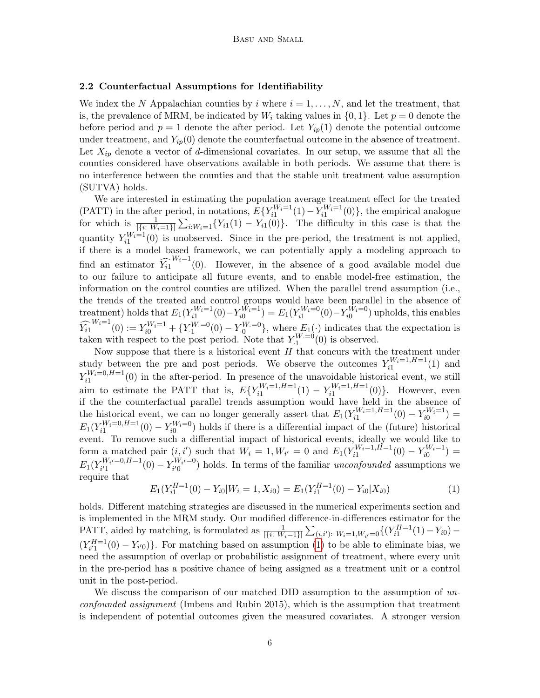#### 2.2 Counterfactual Assumptions for Identifiability

We index the N Appalachian counties by i where  $i = 1, \ldots, N$ , and let the treatment, that is, the prevalence of MRM, be indicated by  $W_i$  taking values in  $\{0, 1\}$ . Let  $p = 0$  denote the before period and  $p = 1$  denote the after period. Let  $Y_{ip}(1)$  denote the potential outcome under treatment, and  $Y_{ip}(0)$  denote the counterfactual outcome in the absence of treatment. Let  $X_{ip}$  denote a vector of d-dimensional covariates. In our setup, we assume that all the counties considered have observations available in both periods. We assume that there is no interference between the counties and that the stable unit treatment value assumption (SUTVA) holds.

We are interested in estimating the population average treatment effect for the treated (PATT) in the after period, in notations,  $E\{Y_{i1}^{W_i=1}(1) - Y_{i1}^{W_i=1}(0)\}\,$ , the empirical analogue for which is  $\frac{1}{|\{i: W_i=1\}|}\sum_{i: W_i=1}\{Y_{i1}(1) - Y_{i1}(0)\}\.$  The difficulty in this case is that the quantity  $Y_{i1}^{W_i=1}(0)$  is unobserved. Since in the pre-period, the treatment is not applied, if there is a model based framework, we can potentially apply a modeling approach to find an estimator  $\widehat{Y}_{i1}^{W_i=1}(0)$ . However, in the absence of a good available model due to our failure to anticipate all future events, and to enable model-free estimation, the information on the control counties are utilized. When the parallel trend assumption (i.e., the trends of the treated and control groups would have been parallel in the absence of treatment) holds that  $E_1(Y_{i1}^{W_i=1}(0) - Y_{i0}^{W_i=1}) = E_1(Y_{i1}^{W_i=0}(0) - Y_{i0}^{W_i=0})$  upholds, this enables  $\widehat{Y}_{i1}^{W_i=1}(0) := Y_{i0}^{W_i=1} + \{Y_{i1}^{W_i=0}(0) - Y_{i0}^{W_i=0}\},$  where  $E_1(\cdot)$  indicates that the expectation is taken with respect to the post period. Note that  $Y_1^{W=0}(0)$  is observed.

Now suppose that there is a historical event  $H$  that concurs with the treatment under study between the pre and post periods. We observe the outcomes  $Y_{i1}^{W_i=1,H=1}(1)$  and  $Y_{i1}^{W_i=0,H=1}(0)$  in the after-period. In presence of the unavoidable historical event, we still aim to estimate the PATT that is,  $E\{Y_{i1}^{W_i=1,H=1}(1) - Y_{i1}^{W_i=1,H=1}(0)\}$ . However, even if the the counterfactual parallel trends assumption would have held in the absence of the historical event, we can no longer generally assert that  $E_1(Y_{i1}^{W_i=1,H=1}(0) - Y_{i0}^{W_i=1}) =$  $E_1(Y_{i1}^{W_i=0,H=1}(0) - Y_{i0}^{W_i=0})$  holds if there is a differential impact of the (future) historical event. To remove such a differential impact of historical events, ideally we would like to form a matched pair  $(i, i')$  such that  $W_i = 1, W_{i'} = 0$  and  $E_1(Y_{i1}^{W_i=1, H=1}(0) - Y_{i0}^{W_i=1}) =$  $E_1(Y_{i'1}^{W_{i'}=0,H=1})$  $\lambda_i^{W_i}=0, H=1}(0) - Y_{i'0}^{W_{i'}=0}$  $\binom{W_i}{i'}$  holds. In terms of the familiar *unconfounded* assumptions we require that

<span id="page-5-0"></span>
$$
E_1(Y_{i1}^{H=1}(0) - Y_{i0}|W_i = 1, X_{i0}) = E_1(Y_{i1}^{H=1}(0) - Y_{i0}|X_{i0})
$$
\n(1)

holds. Different matching strategies are discussed in the numerical experiments section and is implemented in the MRM study. Our modified difference-in-differences estimator for the PATT, aided by matching, is formulated as  $\frac{1}{|\{i: W_i = 1\}|} \sum_{(i,i') \colon W_i = 1, W_{i'} = 0} \{ (Y_{i1}^{H=1}(1) - Y_{i0}) (Y_{i'1}^{H=1}(0) - Y_{i'0})$ . For matching based on assumption [\(1\)](#page-5-0) to be able to eliminate bias, we need the assumption of overlap or probabilistic assignment of treatment, where every unit in the pre-period has a positive chance of being assigned as a treatment unit or a control unit in the post-period.

We discuss the comparison of our matched DID assumption to the assumption of unconfounded assignment (Imbens and Rubin 2015), which is the assumption that treatment is independent of potential outcomes given the measured covariates. A stronger version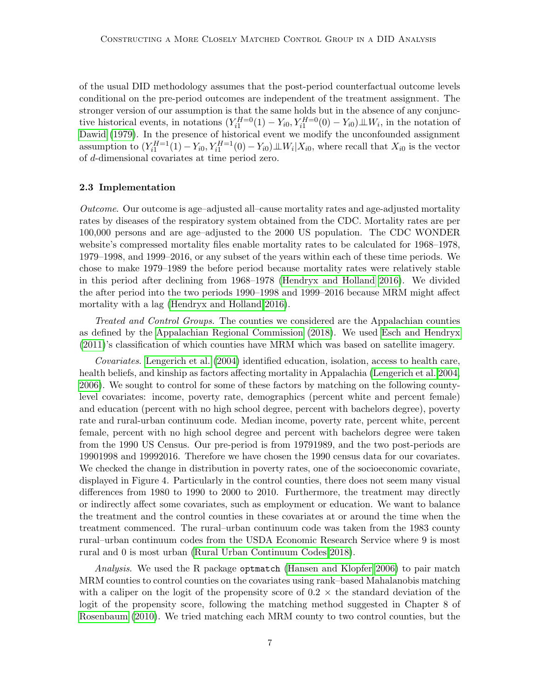of the usual DID methodology assumes that the post-period counterfactual outcome levels conditional on the pre-period outcomes are independent of the treatment assignment. The stronger version of our assumption is that the same holds but in the absence of any conjunctive historical events, in notations  $(Y_{i1}^{H=0}(1) - Y_{i0}, Y_{i1}^{H=0}(0) - Y_{i0}) \perp W_i$ , in the notation of [Dawid](#page-25-10) [\(1979\)](#page-25-10). In the presence of historical event we modify the unconfounded assignment assumption to  $(Y_{i1}^{H=1}(1) - Y_{i0}, Y_{i1}^{H=1}(0) - Y_{i0}) \perp W_i | X_{i0}$ , where recall that  $X_{i0}$  is the vector of d-dimensional covariates at time period zero.

#### 2.3 Implementation

Outcome. Our outcome is age–adjusted all–cause mortality rates and age-adjusted mortality rates by diseases of the respiratory system obtained from the CDC. Mortality rates are per 100,000 persons and are age–adjusted to the 2000 US population. The CDC WONDER website's compressed mortality files enable mortality rates to be calculated for 1968–1978, 1979–1998, and 1999–2016, or any subset of the years within each of these time periods. We chose to make 1979–1989 the before period because mortality rates were relatively stable in this period after declining from 1968–1978 [\(Hendryx and Holland 2016\)](#page-26-1). We divided the after period into the two periods 1990–1998 and 1999–2016 because MRM might affect mortality with a lag [\(Hendryx and Holland 2016\)](#page-26-1).

Treated and Control Groups. The counties we considered are the Appalachian counties as defined by the [Appalachian Regional Commission](#page-24-9) [\(2018\)](#page-24-9). We used [Esch and Hendryx](#page-25-8) [\(2011\)](#page-25-8)'s classification of which counties have MRM which was based on satellite imagery.

Covariates. [Lengerich et al.](#page-26-10) [\(2004\)](#page-26-10) identified education, isolation, access to health care, health beliefs, and kinship as factors affecting mortality in Appalachia [\(Lengerich et al. 2004,](#page-26-10) [2006\)](#page-26-11). We sought to control for some of these factors by matching on the following countylevel covariates: income, poverty rate, demographics (percent white and percent female) and education (percent with no high school degree, percent with bachelors degree), poverty rate and rural-urban continuum code. Median income, poverty rate, percent white, percent female, percent with no high school degree and percent with bachelors degree were taken from the 1990 US Census. Our pre-period is from 19791989, and the two post-periods are 19901998 and 19992016. Therefore we have chosen the 1990 census data for our covariates. We checked the change in distribution in poverty rates, one of the socioeconomic covariate, displayed in Figure 4. Particularly in the control counties, there does not seem many visual differences from 1980 to 1990 to 2000 to 2010. Furthermore, the treatment may directly or indirectly affect some covariates, such as employment or education. We want to balance the treatment and the control counties in these covariates at or around the time when the treatment commenced. The rural–urban continuum code was taken from the 1983 county rural–urban continuum codes from the USDA Economic Research Service where 9 is most rural and 0 is most urban [\(Rural Urban Continuum Codes 2018\)](#page-27-8).

Analysis. We used the R package optmatch [\(Hansen and Klopfer 2006\)](#page-25-9) to pair match MRM counties to control counties on the covariates using rank–based Mahalanobis matching with a caliper on the logit of the propensity score of  $0.2 \times$  the standard deviation of the logit of the propensity score, following the matching method suggested in Chapter 8 of [Rosenbaum](#page-27-7) [\(2010\)](#page-27-7). We tried matching each MRM county to two control counties, but the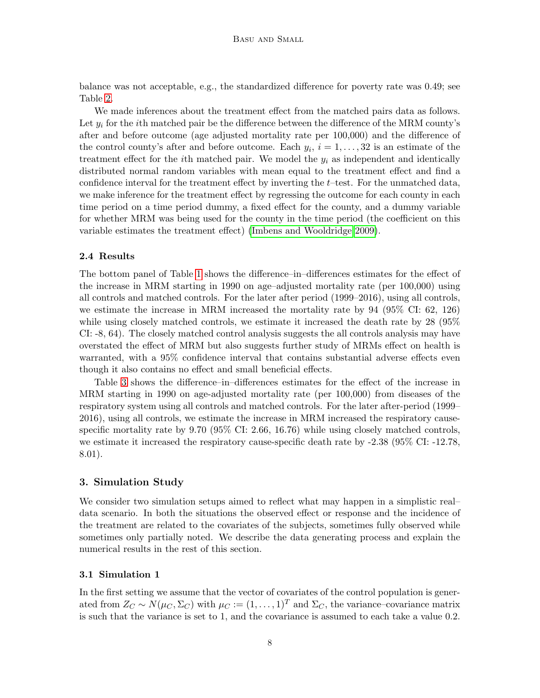balance was not acceptable, e.g., the standardized difference for poverty rate was 0.49; see Table [2.](#page-15-0)

We made inferences about the treatment effect from the matched pairs data as follows. Let  $y_i$  for the *i*th matched pair be the difference between the difference of the MRM county's after and before outcome (age adjusted mortality rate per 100,000) and the difference of the control county's after and before outcome. Each  $y_i$ ,  $i = 1, \ldots, 32$  is an estimate of the treatment effect for the *i*th matched pair. We model the  $y_i$  as independent and identically distributed normal random variables with mean equal to the treatment effect and find a confidence interval for the treatment effect by inverting the  $t$ –test. For the unmatched data, we make inference for the treatment effect by regressing the outcome for each county in each time period on a time period dummy, a fixed effect for the county, and a dummy variable for whether MRM was being used for the county in the time period (the coefficient on this variable estimates the treatment effect) [\(Imbens and Wooldridge 2009\)](#page-26-12).

### 2.4 Results

The bottom panel of Table [1](#page-14-0) shows the difference–in–differences estimates for the effect of the increase in MRM starting in 1990 on age–adjusted mortality rate (per 100,000) using all controls and matched controls. For the later after period (1999–2016), using all controls, we estimate the increase in MRM increased the mortality rate by 94 (95% CI: 62, 126) while using closely matched controls, we estimate it increased the death rate by 28 (95% CI: -8, 64). The closely matched control analysis suggests the all controls analysis may have overstated the effect of MRM but also suggests further study of MRMs effect on health is warranted, with a 95% confidence interval that contains substantial adverse effects even though it also contains no effect and small beneficial effects.

Table [3](#page-15-1) shows the difference–in–differences estimates for the effect of the increase in MRM starting in 1990 on age-adjusted mortality rate (per 100,000) from diseases of the respiratory system using all controls and matched controls. For the later after-period (1999– 2016), using all controls, we estimate the increase in MRM increased the respiratory causespecific mortality rate by 9.70 (95% CI: 2.66, 16.76) while using closely matched controls, we estimate it increased the respiratory cause-specific death rate by -2.38 (95% CI: -12.78, 8.01).

#### 3. Simulation Study

We consider two simulation setups aimed to reflect what may happen in a simplistic real– data scenario. In both the situations the observed effect or response and the incidence of the treatment are related to the covariates of the subjects, sometimes fully observed while sometimes only partially noted. We describe the data generating process and explain the numerical results in the rest of this section.

#### 3.1 Simulation 1

In the first setting we assume that the vector of covariates of the control population is generated from  $Z_C \sim N(\mu_C, \Sigma_C)$  with  $\mu_C := (1, \dots, 1)^T$  and  $\Sigma_C$ , the variance–covariance matrix is such that the variance is set to 1, and the covariance is assumed to each take a value 0.2.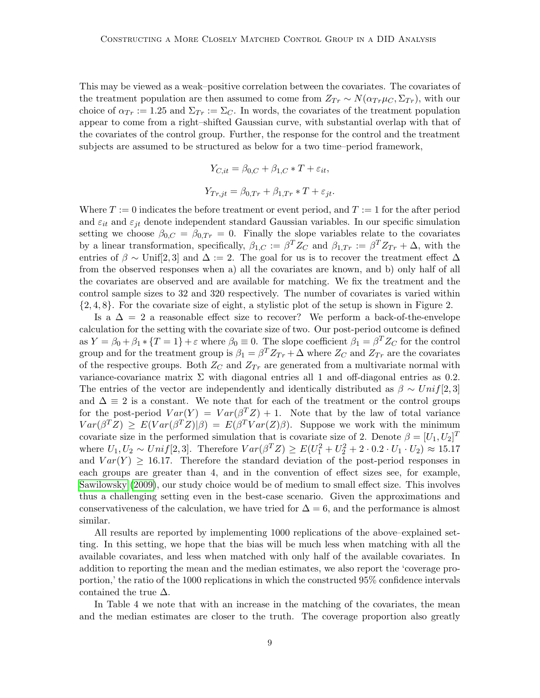This may be viewed as a weak–positive correlation between the covariates. The covariates of the treatment population are then assumed to come from  $Z_{Tr} \sim N(\alpha_{Tr} \mu_C, \Sigma_{Tr})$ , with our choice of  $\alpha_{Tr} := 1.25$  and  $\Sigma_{Tr} := \Sigma_C$ . In words, the covariates of the treatment population appear to come from a right–shifted Gaussian curve, with substantial overlap with that of the covariates of the control group. Further, the response for the control and the treatment subjects are assumed to be structured as below for a two time–period framework,

$$
Y_{C,it} = \beta_{0,C} + \beta_{1,C} * T + \varepsilon_{it},
$$
  

$$
Y_{Tr,jt} = \beta_{0,Tr} + \beta_{1,Tr} * T + \varepsilon_{jt}.
$$

Where  $T := 0$  indicates the before treatment or event period, and  $T := 1$  for the after period and  $\varepsilon_{it}$  and  $\varepsilon_{jt}$  denote independent standard Gaussian variables. In our specific simulation setting we choose  $\beta_{0,C} = \beta_{0,Tr} = 0$ . Finally the slope variables relate to the covariates by a linear transformation, specifically,  $\beta_{1,C} := \beta^T Z_C$  and  $\beta_{1,Tr} := \beta^T Z_{Tr} + \Delta$ , with the entries of  $\beta \sim$  Unif[2,3] and  $\Delta := 2$ . The goal for us is to recover the treatment effect  $\Delta$ from the observed responses when a) all the covariates are known, and b) only half of all the covariates are observed and are available for matching. We fix the treatment and the control sample sizes to 32 and 320 respectively. The number of covariates is varied within {2, 4, 8}. For the covariate size of eight, a stylistic plot of the setup is shown in Figure 2.

Is a  $\Delta = 2$  a reasonable effect size to recover? We perform a back-of-the-envelope calculation for the setting with the covariate size of two. Our post-period outcome is defined as  $Y = \beta_0 + \beta_1 * \{T = 1\} + \varepsilon$  where  $\beta_0 \equiv 0$ . The slope coefficient  $\beta_1 = \beta^T Z_C$  for the control group and for the treatment group is  $\beta_1 = \beta^T Z_{Tr} + \Delta$  where  $Z_C$  and  $Z_{Tr}$  are the covariates of the respective groups. Both  $Z_C$  and  $Z_{Tr}$  are generated from a multivariate normal with variance-covariance matrix  $\Sigma$  with diagonal entries all 1 and off-diagonal entries as 0.2. The entries of the vector are independently and identically distributed as  $\beta \sim Unif[2,3]$ and  $\Delta \equiv 2$  is a constant. We note that for each of the treatment or the control groups for the post-period  $Var(Y) = Var(\beta^{T}Z) + 1$ . Note that by the law of total variance  $Var(\beta^T Z) \geq E(Var(\beta^T Z)|\beta) = E(\beta^T Var(Z)\beta)$ . Suppose we work with the minimum covariate size in the performed simulation that is covariate size of 2. Denote  $\beta = [U_1, U_2]^T$ where  $U_1, U_2 \sim Unif[2, 3]$ . Therefore  $Var(\beta^T Z) \geq E(U_1^2 + U_2^2 + 2 \cdot 0.2 \cdot U_1 \cdot U_2) \approx 15.17$ and  $Var(Y) \ge 16.17$ . Therefore the standard deviation of the post-period responses in each groups are greater than 4, and in the convention of effect sizes see, for example, [Sawilowsky](#page-27-9) [\(2009\)](#page-27-9), our study choice would be of medium to small effect size. This involves thus a challenging setting even in the best-case scenario. Given the approximations and conservativeness of the calculation, we have tried for  $\Delta = 6$ , and the performance is almost similar.

All results are reported by implementing 1000 replications of the above–explained setting. In this setting, we hope that the bias will be much less when matching with all the available covariates, and less when matched with only half of the available covariates. In addition to reporting the mean and the median estimates, we also report the 'coverage proportion,' the ratio of the 1000 replications in which the constructed 95% confidence intervals contained the true  $\Delta$ .

In Table 4 we note that with an increase in the matching of the covariates, the mean and the median estimates are closer to the truth. The coverage proportion also greatly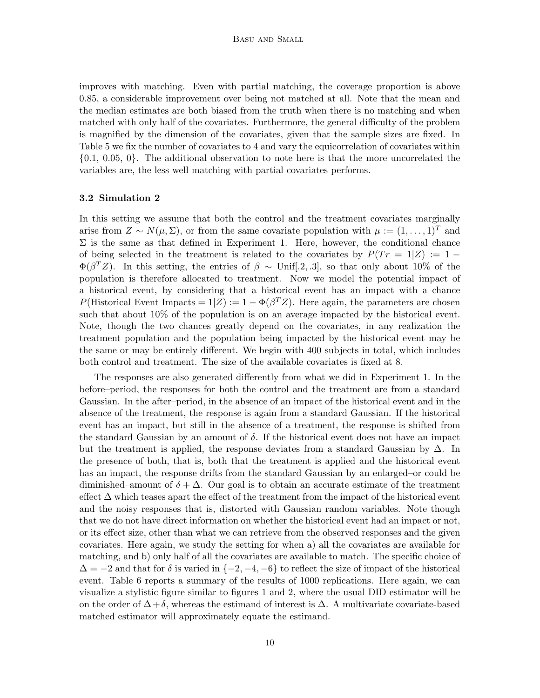improves with matching. Even with partial matching, the coverage proportion is above 0.85, a considerable improvement over being not matched at all. Note that the mean and the median estimates are both biased from the truth when there is no matching and when matched with only half of the covariates. Furthermore, the general difficulty of the problem is magnified by the dimension of the covariates, given that the sample sizes are fixed. In Table 5 we fix the number of covariates to 4 and vary the equicorrelation of covariates within {0.1, 0.05, 0}. The additional observation to note here is that the more uncorrelated the variables are, the less well matching with partial covariates performs.

### 3.2 Simulation 2

In this setting we assume that both the control and the treatment covariates marginally arise from  $Z \sim N(\mu, \Sigma)$ , or from the same covariate population with  $\mu := (1, \ldots, 1)^T$  and  $\Sigma$  is the same as that defined in Experiment 1. Here, however, the conditional chance of being selected in the treatment is related to the covariates by  $P(Tr = 1|Z) := 1 \Phi(\beta^T Z)$ . In this setting, the entries of  $\beta \sim$  Unif[.2, .3], so that only about 10% of the population is therefore allocated to treatment. Now we model the potential impact of a historical event, by considering that a historical event has an impact with a chance P(Historical Event Impacts =  $1|Z$ ) :=  $1 - \Phi(\beta^T Z)$ . Here again, the parameters are chosen such that about 10% of the population is on an average impacted by the historical event. Note, though the two chances greatly depend on the covariates, in any realization the treatment population and the population being impacted by the historical event may be the same or may be entirely different. We begin with 400 subjects in total, which includes both control and treatment. The size of the available covariates is fixed at 8.

The responses are also generated differently from what we did in Experiment 1. In the before–period, the responses for both the control and the treatment are from a standard Gaussian. In the after–period, in the absence of an impact of the historical event and in the absence of the treatment, the response is again from a standard Gaussian. If the historical event has an impact, but still in the absence of a treatment, the response is shifted from the standard Gaussian by an amount of  $\delta$ . If the historical event does not have an impact but the treatment is applied, the response deviates from a standard Gaussian by  $\Delta$ . In the presence of both, that is, both that the treatment is applied and the historical event has an impact, the response drifts from the standard Gaussian by an enlarged–or could be diminished–amount of  $\delta + \Delta$ . Our goal is to obtain an accurate estimate of the treatment effect  $\Delta$  which teases apart the effect of the treatment from the impact of the historical event and the noisy responses that is, distorted with Gaussian random variables. Note though that we do not have direct information on whether the historical event had an impact or not, or its effect size, other than what we can retrieve from the observed responses and the given covariates. Here again, we study the setting for when a) all the covariates are available for matching, and b) only half of all the covariates are available to match. The specific choice of  $\Delta = -2$  and that for  $\delta$  is varied in  $\{-2, -4, -6\}$  to reflect the size of impact of the historical event. Table 6 reports a summary of the results of 1000 replications. Here again, we can visualize a stylistic figure similar to figures 1 and 2, where the usual DID estimator will be on the order of  $\Delta + \delta$ , whereas the estimand of interest is  $\Delta$ . A multivariate covariate-based matched estimator will approximately equate the estimand.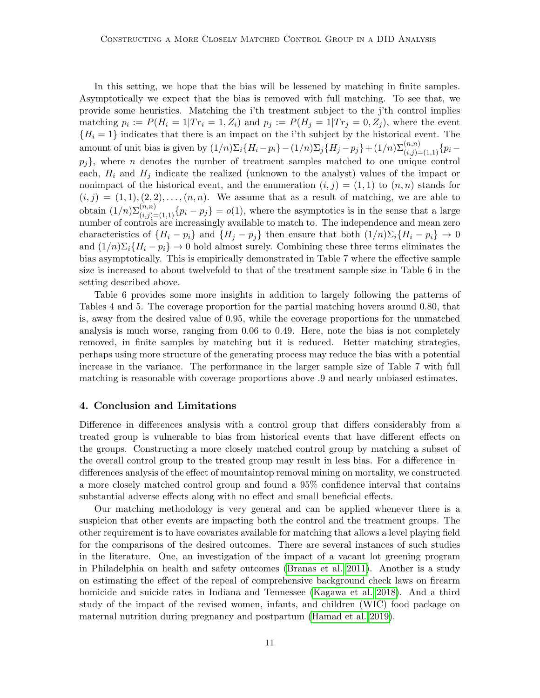In this setting, we hope that the bias will be lessened by matching in finite samples. Asymptotically we expect that the bias is removed with full matching. To see that, we provide some heuristics. Matching the i'th treatment subject to the j'th control implies matching  $p_i := P(H_i = 1|Tr_i = 1, Z_i)$  and  $p_j := P(H_j = 1|Tr_j = 0, Z_j)$ , where the event  ${H<sub>i</sub> = 1}$  indicates that there is an impact on the i'th subject by the historical event. The amount of unit bias is given by  $(1/n)\Sigma_i\{H_i - p_i\} - (1/n)\Sigma_j\{H_j - p_j\} + (1/n)\Sigma_{(i,j)=(1,1)}^{(n,n)}\{p_i - p_j\}$  $p_j$ }, where *n* denotes the number of treatment samples matched to one unique control each,  $H_i$  and  $H_j$  indicate the realized (unknown to the analyst) values of the impact or nonimpact of the historical event, and the enumeration  $(i, j) = (1, 1)$  to  $(n, n)$  stands for  $(i, j) = (1, 1), (2, 2), \ldots, (n, n)$ . We assume that as a result of matching, we are able to obtain  $(1/n)\sum_{(i,j)=(1,1)}^{(n,n)}\{p_i-p_j\}=o(1)$ , where the asymptotics is in the sense that a large number of controls are increasingly available to match to. The independence and mean zero characteristics of  $\{H_i - p_i\}$  and  $\{H_j - p_j\}$  then ensure that both  $(1/n)\Sigma_i\{H_i - p_i\} \to 0$ and  $(1/n)\Sigma_i\{H_i - p_i\} \to 0$  hold almost surely. Combining these three terms eliminates the bias asymptotically. This is empirically demonstrated in Table 7 where the effective sample size is increased to about twelvefold to that of the treatment sample size in Table 6 in the setting described above.

Table 6 provides some more insights in addition to largely following the patterns of Tables 4 and 5. The coverage proportion for the partial matching hovers around 0.80, that is, away from the desired value of 0.95, while the coverage proportions for the unmatched analysis is much worse, ranging from 0.06 to 0.49. Here, note the bias is not completely removed, in finite samples by matching but it is reduced. Better matching strategies, perhaps using more structure of the generating process may reduce the bias with a potential increase in the variance. The performance in the larger sample size of Table 7 with full matching is reasonable with coverage proportions above .9 and nearly unbiased estimates.

### 4. Conclusion and Limitations

Difference–in–differences analysis with a control group that differs considerably from a treated group is vulnerable to bias from historical events that have different effects on the groups. Constructing a more closely matched control group by matching a subset of the overall control group to the treated group may result in less bias. For a difference–in– differences analysis of the effect of mountaintop removal mining on mortality, we constructed a more closely matched control group and found a 95% confidence interval that contains substantial adverse effects along with no effect and small beneficial effects.

Our matching methodology is very general and can be applied whenever there is a suspicion that other events are impacting both the control and the treatment groups. The other requirement is to have covariates available for matching that allows a level playing field for the comparisons of the desired outcomes. There are several instances of such studies in the literature. One, an investigation of the impact of a vacant lot greening program in Philadelphia on health and safety outcomes [\(Branas et al. 2011\)](#page-24-10). Another is a study on estimating the effect of the repeal of comprehensive background check laws on firearm homicide and suicide rates in Indiana and Tennessee [\(Kagawa et al. 2018\)](#page-26-13). And a third study of the impact of the revised women, infants, and children (WIC) food package on maternal nutrition during pregnancy and postpartum [\(Hamad et al. 2019\)](#page-25-11).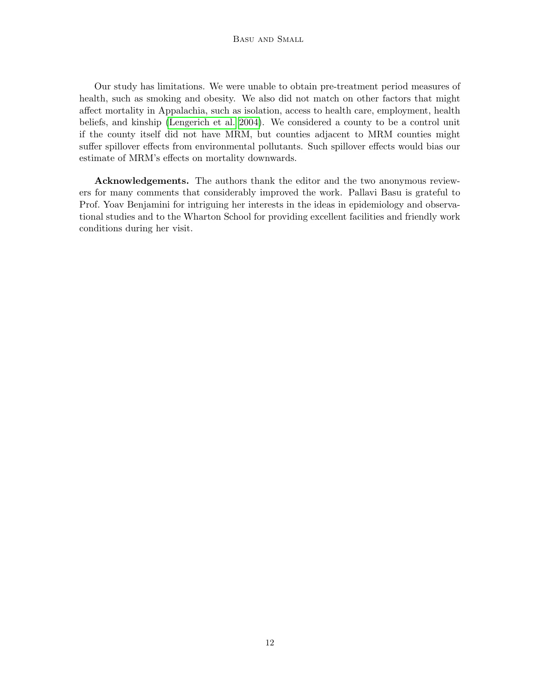Our study has limitations. We were unable to obtain pre-treatment period measures of health, such as smoking and obesity. We also did not match on other factors that might affect mortality in Appalachia, such as isolation, access to health care, employment, health beliefs, and kinship [\(Lengerich et al. 2004\)](#page-26-10). We considered a county to be a control unit if the county itself did not have MRM, but counties adjacent to MRM counties might suffer spillover effects from environmental pollutants. Such spillover effects would bias our estimate of MRM's effects on mortality downwards.

Acknowledgements. The authors thank the editor and the two anonymous reviewers for many comments that considerably improved the work. Pallavi Basu is grateful to Prof. Yoav Benjamini for intriguing her interests in the ideas in epidemiology and observational studies and to the Wharton School for providing excellent facilities and friendly work conditions during her visit.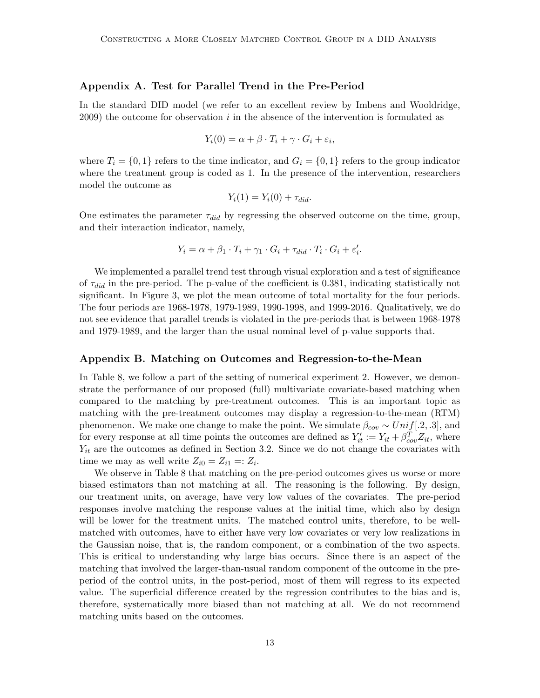#### Appendix A. Test for Parallel Trend in the Pre-Period

In the standard DID model (we refer to an excellent review by Imbens and Wooldridge, 2009) the outcome for observation  $i$  in the absence of the intervention is formulated as

$$
Y_i(0) = \alpha + \beta \cdot T_i + \gamma \cdot G_i + \varepsilon_i,
$$

where  $T_i = \{0, 1\}$  refers to the time indicator, and  $G_i = \{0, 1\}$  refers to the group indicator where the treatment group is coded as 1. In the presence of the intervention, researchers model the outcome as

$$
Y_i(1) = Y_i(0) + \tau_{did}.
$$

One estimates the parameter  $\tau_{did}$  by regressing the observed outcome on the time, group, and their interaction indicator, namely,

$$
Y_i = \alpha + \beta_1 \cdot T_i + \gamma_1 \cdot G_i + \tau_{did} \cdot T_i \cdot G_i + \varepsilon'_i.
$$

We implemented a parallel trend test through visual exploration and a test of significance of  $\tau_{did}$  in the pre-period. The p-value of the coefficient is 0.381, indicating statistically not significant. In Figure 3, we plot the mean outcome of total mortality for the four periods. The four periods are 1968-1978, 1979-1989, 1990-1998, and 1999-2016. Qualitatively, we do not see evidence that parallel trends is violated in the pre-periods that is between 1968-1978 and 1979-1989, and the larger than the usual nominal level of p-value supports that.

#### Appendix B. Matching on Outcomes and Regression-to-the-Mean

In Table 8, we follow a part of the setting of numerical experiment 2. However, we demonstrate the performance of our proposed (full) multivariate covariate-based matching when compared to the matching by pre-treatment outcomes. This is an important topic as matching with the pre-treatment outcomes may display a regression-to-the-mean (RTM) phenomenon. We make one change to make the point. We simulate  $\beta_{cov} \sim Unif[.2, .3]$ , and for every response at all time points the outcomes are defined as  $Y'_{it} := Y_{it} + \beta_{cov}^T Z_{it}$ , where  $Y_{it}$  are the outcomes as defined in Section 3.2. Since we do not change the covariates with time we may as well write  $Z_{i0} = Z_{i1} =: Z_i$ .

We observe in Table 8 that matching on the pre-period outcomes gives us worse or more biased estimators than not matching at all. The reasoning is the following. By design, our treatment units, on average, have very low values of the covariates. The pre-period responses involve matching the response values at the initial time, which also by design will be lower for the treatment units. The matched control units, therefore, to be wellmatched with outcomes, have to either have very low covariates or very low realizations in the Gaussian noise, that is, the random component, or a combination of the two aspects. This is critical to understanding why large bias occurs. Since there is an aspect of the matching that involved the larger-than-usual random component of the outcome in the preperiod of the control units, in the post-period, most of them will regress to its expected value. The superficial difference created by the regression contributes to the bias and is, therefore, systematically more biased than not matching at all. We do not recommend matching units based on the outcomes.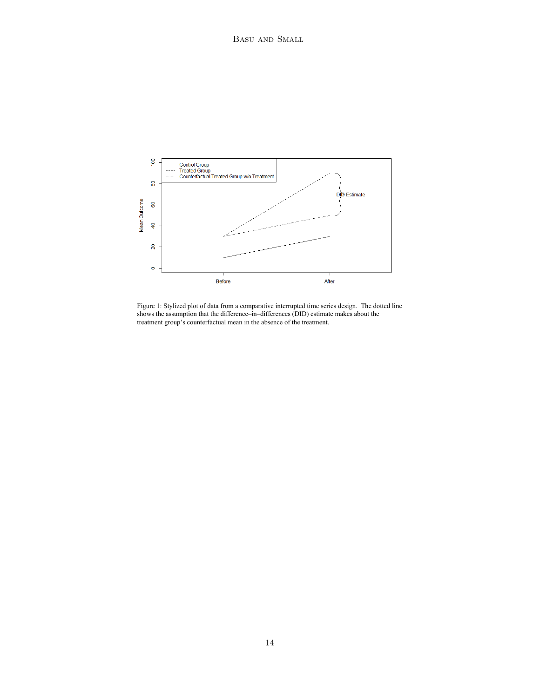

Figure 1: Stylized plot of data from a comparative interrupted time series design. The dotted line shows the assumption that the difference–in–differences (DID) estimate makes about the treatment group's counterfactual mean in the absence of the treatment.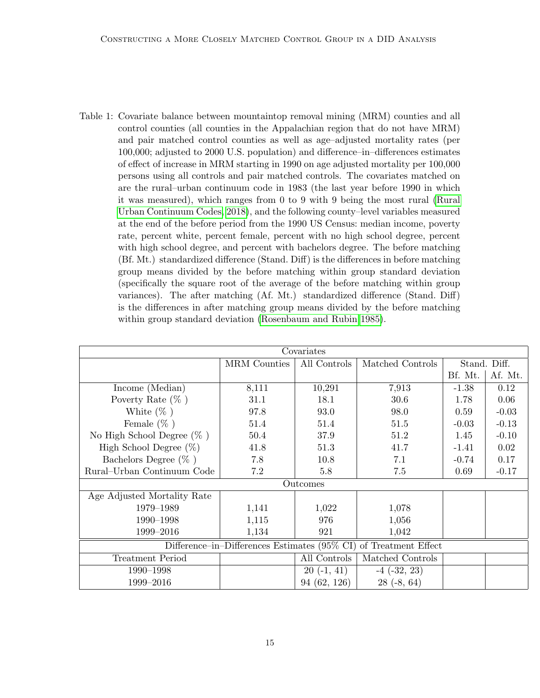<span id="page-14-0"></span>Table 1: Covariate balance between mountaintop removal mining (MRM) counties and all control counties (all counties in the Appalachian region that do not have MRM) and pair matched control counties as well as age–adjusted mortality rates (per 100,000; adjusted to 2000 U.S. population) and difference–in–differences estimates of effect of increase in MRM starting in 1990 on age adjusted mortality per 100,000 persons using all controls and pair matched controls. The covariates matched on are the rural–urban continuum code in 1983 (the last year before 1990 in which it was measured), which ranges from 0 to 9 with 9 being the most rural [\(Rural](#page-27-8) [Urban Continuum Codes, 2018\)](#page-27-8), and the following county–level variables measured at the end of the before period from the 1990 US Census: median income, poverty rate, percent white, percent female, percent with no high school degree, percent with high school degree, and percent with bachelors degree. The before matching (Bf. Mt.) standardized difference (Stand. Diff) is the differences in before matching group means divided by the before matching within group standard deviation (specifically the square root of the average of the before matching within group variances). The after matching (Af. Mt.) standardized difference (Stand. Diff) is the differences in after matching group means divided by the before matching within group standard deviation [\(Rosenbaum and Rubin 1985\)](#page-27-10).

| Covariates                                                       |              |              |                  |         |              |
|------------------------------------------------------------------|--------------|--------------|------------------|---------|--------------|
|                                                                  | MRM Counties | All Controls | Matched Controls |         | Stand. Diff. |
|                                                                  |              |              |                  | Bf. Mt. | Af. Mt.      |
| Income (Median)                                                  | 8,111        | 10,291       | 7,913            | $-1.38$ | 0.12         |
| Poverty Rate $(\%$ )                                             | 31.1         | 18.1         | 30.6             | 1.78    | 0.06         |
| White $(\% )$                                                    | 97.8         | 93.0         | 98.0             | 0.59    | $-0.03$      |
| Female $(\% )$                                                   | 51.4         | 51.4         | 51.5             | $-0.03$ | $-0.13$      |
| No High School Degree $(\% )$                                    | 50.4         | 37.9         | 51.2             | 1.45    | $-0.10$      |
| High School Degree $(\%)$                                        | 41.8         | 51.3         | 41.7             | $-1.41$ | 0.02         |
| Bachelors Degree $(\% )$                                         | 7.8          | 10.8         | 7.1              | $-0.74$ | 0.17         |
| Rural-Urban Continuum Code                                       | 7.2          | 5.8          | 7.5              | 0.69    | $-0.17$      |
|                                                                  | Outcomes     |              |                  |         |              |
| Age Adjusted Mortality Rate                                      |              |              |                  |         |              |
| 1979-1989                                                        | 1,141        | 1,022        | 1,078            |         |              |
| 1990-1998                                                        | 1,115        | 976          | 1,056            |         |              |
| 1999-2016                                                        | 1,134        | 921          | 1,042            |         |              |
| Difference–in–Differences Estimates (95% CI) of Treatment Effect |              |              |                  |         |              |
| <b>Treatment Period</b>                                          |              | All Controls | Matched Controls |         |              |
| 1990-1998                                                        |              | $20(-1, 41)$ | $-4$ $(-32, 23)$ |         |              |
| 1999-2016                                                        |              | 94 (62, 126) | $28(-8, 64)$     |         |              |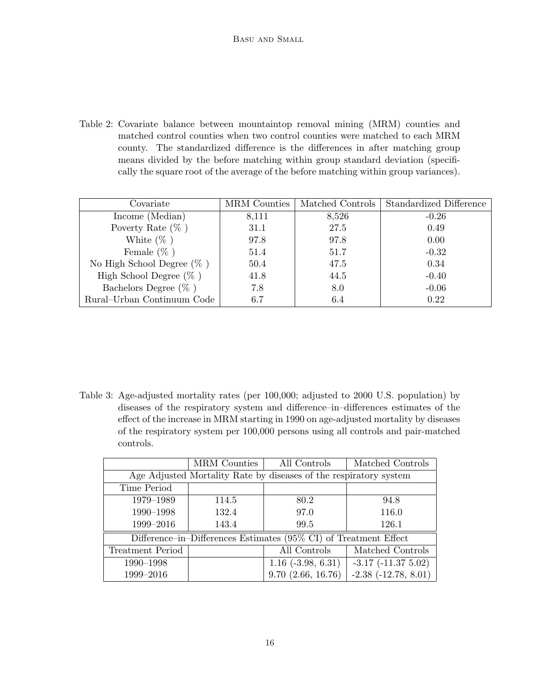<span id="page-15-0"></span>Table 2: Covariate balance between mountaintop removal mining (MRM) counties and matched control counties when two control counties were matched to each MRM county. The standardized difference is the differences in after matching group means divided by the before matching within group standard deviation (specifically the square root of the average of the before matching within group variances).

| Covariate                     | MRM Counties | Matched Controls | Standardized Difference |
|-------------------------------|--------------|------------------|-------------------------|
| Income (Median)               | 8,111        | 8,526            | $-0.26$                 |
| Poverty Rate $(\%$ )          | 31.1         | 27.5             | 0.49                    |
| White $(\% )$                 | 97.8         | 97.8             | 0.00                    |
| Female $(\% )$                | 51.4         | 51.7             | $-0.32$                 |
| No High School Degree $(\%$ ) | 50.4         | 47.5             | 0.34                    |
| High School Degree $(\% )$    | 41.8         | 44.5             | $-0.40$                 |
| Bachelors Degree $(\% )$      | 7.8          | 8.0              | $-0.06$                 |
| Rural-Urban Continuum Code    | 6.7          | 6.4              | 0.22                    |

<span id="page-15-1"></span>Table 3: Age-adjusted mortality rates (per 100,000; adjusted to 2000 U.S. population) by diseases of the respiratory system and difference–in–differences estimates of the effect of the increase in MRM starting in 1990 on age-adjusted mortality by diseases of the respiratory system per 100,000 persons using all controls and pair-matched controls.

|                                                                   | <b>MRM</b> Counties | All Controls                                                     | Matched Controls          |  |  |
|-------------------------------------------------------------------|---------------------|------------------------------------------------------------------|---------------------------|--|--|
| Age Adjusted Mortality Rate by diseases of the respiratory system |                     |                                                                  |                           |  |  |
| Time Period                                                       |                     |                                                                  |                           |  |  |
| 1979-1989                                                         | 114.5               | 80.2                                                             | 94.8                      |  |  |
| 1990-1998                                                         | 132.4               | 97.0                                                             | 116.0                     |  |  |
| 1999-2016                                                         | 143.4               | 99.5                                                             | 126.1                     |  |  |
|                                                                   |                     | Difference–in–Differences Estimates (95% CI) of Treatment Effect |                           |  |  |
| Treatment Period                                                  |                     | All Controls                                                     | Matched Controls          |  |  |
| 1990–1998                                                         |                     | $1.16$ ( $-3.98, 6.31$ )                                         | $-3.17$ $(-11.37$ $5.02)$ |  |  |
| 1999-2016                                                         |                     | $9.70$ $(2.66, 16.76)$                                           | $-2.38$ $(-12.78, 8.01)$  |  |  |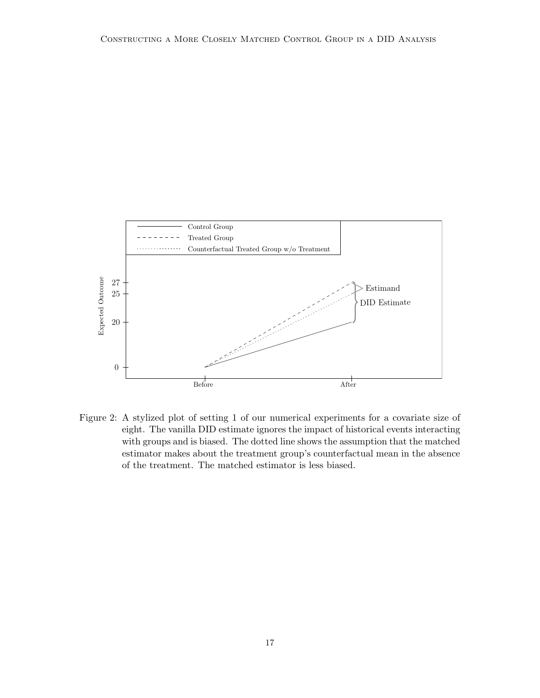

Figure 2: A stylized plot of setting 1 of our numerical experiments for a covariate size of eight. The vanilla DID estimate ignores the impact of historical events interacting with groups and is biased. The dotted line shows the assumption that the matched estimator makes about the treatment group's counterfactual mean in the absence of the treatment. The matched estimator is less biased.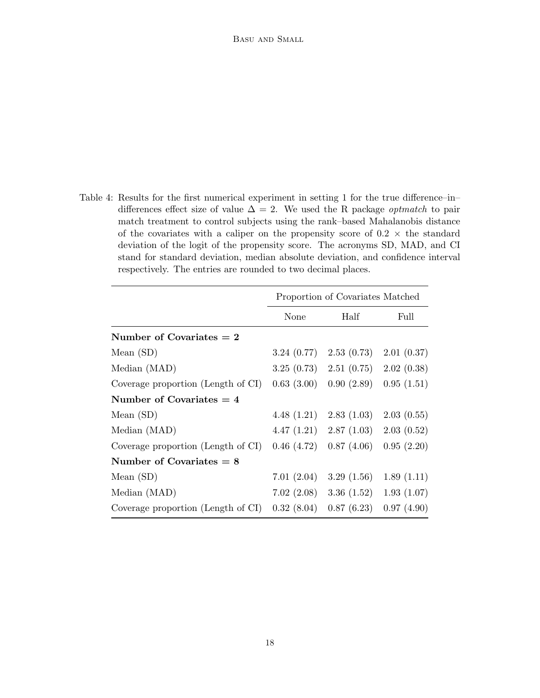Table 4: Results for the first numerical experiment in setting 1 for the true difference–in– differences effect size of value  $\Delta = 2$ . We used the R package *optmatch* to pair match treatment to control subjects using the rank–based Mahalanobis distance of the covariates with a caliper on the propensity score of  $0.2 \times$  the standard deviation of the logit of the propensity score. The acronyms SD, MAD, and CI stand for standard deviation, median absolute deviation, and confidence interval respectively. The entries are rounded to two decimal places.

|                                    | Proportion of Covariates Matched |                             |            |  |
|------------------------------------|----------------------------------|-----------------------------|------------|--|
|                                    | None                             | Half                        | Full       |  |
| Number of Covariates $= 2$         |                                  |                             |            |  |
| Mean $(SD)$                        |                                  | $3.24(0.77)$ $2.53(0.73)$   | 2.01(0.37) |  |
| Median (MAD)                       |                                  | $3.25(0.73)$ $2.51(0.75)$   | 2.02(0.38) |  |
| Coverage proportion (Length of CI) | 0.63(3.00)                       | 0.90(2.89)                  | 0.95(1.51) |  |
| Number of Covariates $= 4$         |                                  |                             |            |  |
| Mean $(SD)$                        |                                  | 4.48 $(1.21)$ 2.83 $(1.03)$ | 2.03(0.55) |  |
| Median (MAD)                       |                                  | $4.47(1.21)$ $2.87(1.03)$   | 2.03(0.52) |  |
| Coverage proportion (Length of CI) | 0.46(4.72)                       | 0.87(4.06)                  | 0.95(2.20) |  |
| Number of Covariates $= 8$         |                                  |                             |            |  |
| Mean $(SD)$                        | 7.01(2.04)                       | 3.29(1.56)                  | 1.89(1.11) |  |
| Median (MAD)                       | 7.02(2.08)                       | 3.36(1.52)                  | 1.93(1.07) |  |
| Coverage proportion (Length of CI) | 0.32(8.04)                       | 0.87(6.23)                  | 0.97(4.90) |  |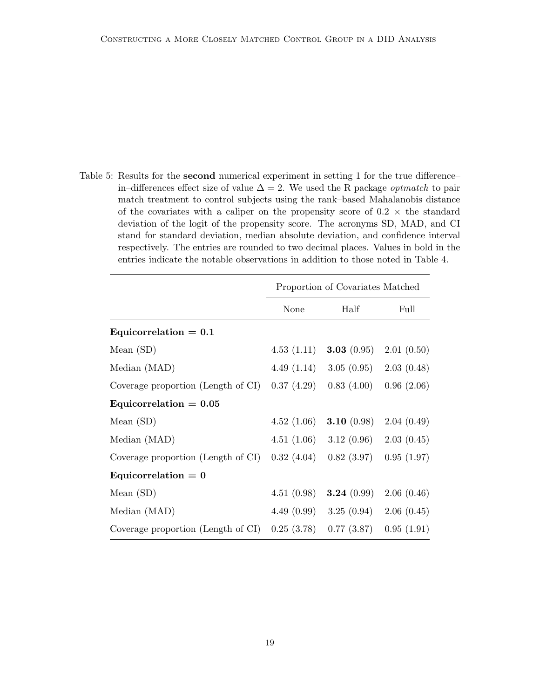Table 5: Results for the second numerical experiment in setting 1 for the true difference– in–differences effect size of value  $\Delta = 2$ . We used the R package *optmatch* to pair match treatment to control subjects using the rank–based Mahalanobis distance of the covariates with a caliper on the propensity score of  $0.2 \times$  the standard deviation of the logit of the propensity score. The acronyms SD, MAD, and CI stand for standard deviation, median absolute deviation, and confidence interval respectively. The entries are rounded to two decimal places. Values in bold in the entries indicate the notable observations in addition to those noted in Table 4.

|                                    | Proportion of Covariates Matched |                             |            |  |
|------------------------------------|----------------------------------|-----------------------------|------------|--|
|                                    | None                             | Half                        | Full       |  |
| Equicorrelation $= 0.1$            |                                  |                             |            |  |
| Mean $(SD)$                        | 4.53(1.11)                       | 3.03 $(0.95)$               | 2.01(0.50) |  |
| Median (MAD)                       | 4.49(1.14)                       | 3.05(0.95)                  | 2.03(0.48) |  |
| Coverage proportion (Length of CI) | 0.37(4.29)                       | 0.83(4.00)                  | 0.96(2.06) |  |
| Equicorrelation $= 0.05$           |                                  |                             |            |  |
| Mean $(SD)$                        | 4.52(1.06)                       | 3.10 $(0.98)$               | 2.04(0.49) |  |
| Median (MAD)                       |                                  | $4.51(1.06)$ $3.12(0.96)$   | 2.03(0.45) |  |
| Coverage proportion (Length of CI) | 0.32(4.04)                       | 0.82(3.97)                  | 0.95(1.97) |  |
| Equicorrelation $= 0$              |                                  |                             |            |  |
| Mean $(SD)$                        | 4.51(0.98)                       | 3.24 $(0.99)$               | 2.06(0.46) |  |
| Median (MAD)                       |                                  | 4.49 $(0.99)$ 3.25 $(0.94)$ | 2.06(0.45) |  |
| Coverage proportion (Length of CI) | 0.25(3.78)                       | 0.77(3.87)                  | 0.95(1.91) |  |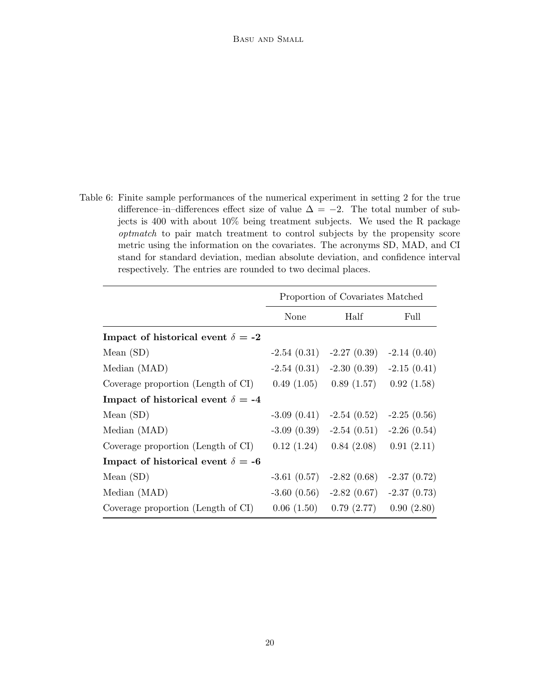Table 6: Finite sample performances of the numerical experiment in setting 2 for the true difference–in–differences effect size of value  $\Delta = -2$ . The total number of subjects is 400 with about 10% being treatment subjects. We used the R package optmatch to pair match treatment to control subjects by the propensity score metric using the information on the covariates. The acronyms SD, MAD, and CI stand for standard deviation, median absolute deviation, and confidence interval respectively. The entries are rounded to two decimal places.

|                                          | Proportion of Covariates Matched |                                           |               |
|------------------------------------------|----------------------------------|-------------------------------------------|---------------|
|                                          | None                             | Half                                      | Full          |
| Impact of historical event $\delta = -2$ |                                  |                                           |               |
| Mean $(SD)$                              |                                  | $-2.54(0.31)$ $-2.27(0.39)$ $-2.14(0.40)$ |               |
| Median (MAD)                             |                                  | $-2.54(0.31)$ $-2.30(0.39)$ $-2.15(0.41)$ |               |
| Coverage proportion (Length of CI)       |                                  | $0.49(1.05)$ $0.89(1.57)$                 | 0.92(1.58)    |
| Impact of historical event $\delta = -4$ |                                  |                                           |               |
| Mean $(SD)$                              |                                  | $-3.09(0.41)$ $-2.54(0.52)$               | $-2.25(0.56)$ |
| Median (MAD)                             |                                  | $-3.09(0.39)$ $-2.54(0.51)$ $-2.26(0.54)$ |               |
| Coverage proportion (Length of CI)       |                                  | $0.12(1.24)$ $0.84(2.08)$                 | 0.91(2.11)    |
| Impact of historical event $\delta = -6$ |                                  |                                           |               |
| Mean $(SD)$                              |                                  | $-3.61(0.57)$ $-2.82(0.68)$               | $-2.37(0.72)$ |
| Median (MAD)                             |                                  | $-3.60(0.56)$ $-2.82(0.67)$               | $-2.37(0.73)$ |
| Coverage proportion (Length of CI)       |                                  | $0.06(1.50)$ $0.79(2.77)$                 | 0.90(2.80)    |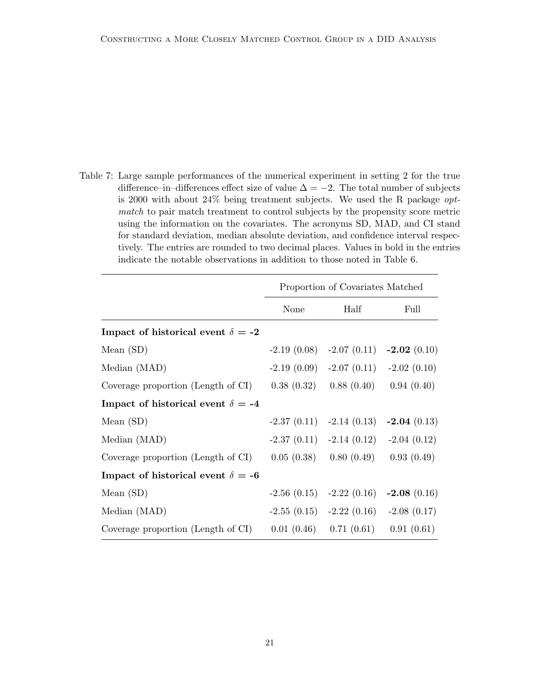Table 7: Large sample performances of the numerical experiment in setting 2 for the true difference–in–differences effect size of value  $\Delta = -2$ . The total number of subjects is 2000 with about 24% being treatment subjects. We used the R package optmatch to pair match treatment to control subjects by the propensity score metric using the information on the covariates. The acronyms SD, MAD, and CI stand for standard deviation, median absolute deviation, and confidence interval respectively. The entries are rounded to two decimal places. Values in bold in the entries indicate the notable observations in addition to those noted in Table 6.

|                                          | Proportion of Covariates Matched |                                              |            |
|------------------------------------------|----------------------------------|----------------------------------------------|------------|
|                                          | None                             | Half                                         | Full       |
| Impact of historical event $\delta = -2$ |                                  |                                              |            |
| Mean $(SD)$                              |                                  | $-2.19(0.08)$ $-2.07(0.11)$ $-2.02(0.10)$    |            |
| Median (MAD)                             |                                  | $-2.19(0.09)$ $-2.07(0.11)$ $-2.02(0.10)$    |            |
| Coverage proportion (Length of CI)       |                                  | $0.38(0.32)$ $0.88(0.40)$                    | 0.94(0.40) |
| Impact of historical event $\delta = -4$ |                                  |                                              |            |
| Mean $(SD)$                              |                                  | $-2.37(0.11)$ $-2.14(0.13)$ $-2.04(0.13)$    |            |
| Median (MAD)                             |                                  | $-2.37(0.11)$ $-2.14(0.12)$ $-2.04(0.12)$    |            |
| Coverage proportion (Length of CI)       |                                  | $0.05(0.38)$ $0.80(0.49)$                    | 0.93(0.49) |
| Impact of historical event $\delta = -6$ |                                  |                                              |            |
| Mean $(SD)$                              |                                  | $-2.56$ (0.15) $-2.22$ (0.16) $-2.08$ (0.16) |            |
| Median (MAD)                             |                                  | $-2.55(0.15)$ $-2.22(0.16)$ $-2.08(0.17)$    |            |
| Coverage proportion (Length of CI)       |                                  | $0.01(0.46)$ $0.71(0.61)$                    | 0.91(0.61) |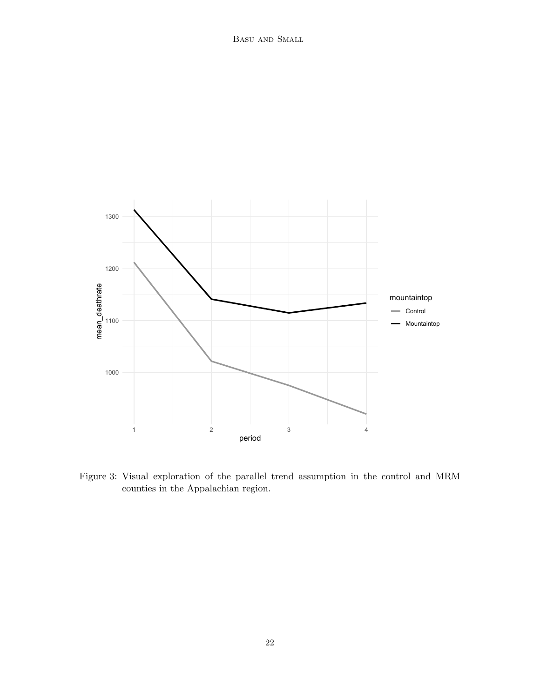

Figure 3: Visual exploration of the parallel trend assumption in the control and MRM counties in the Appalachian region.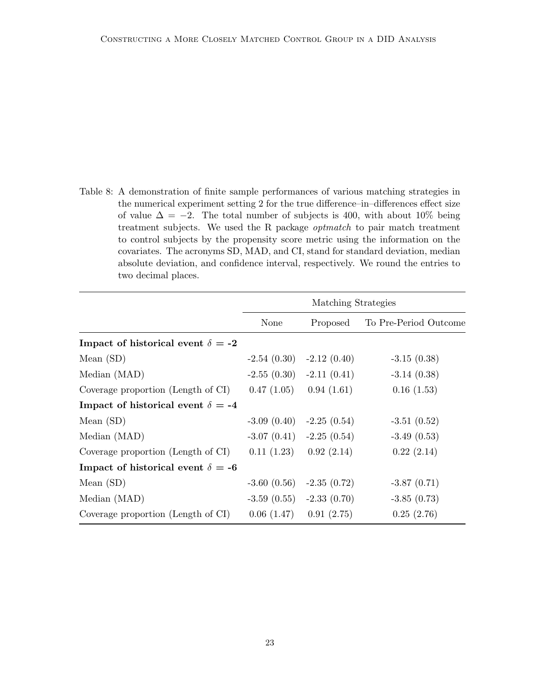Table 8: A demonstration of finite sample performances of various matching strategies in the numerical experiment setting 2 for the true difference–in–differences effect size of value  $\Delta = -2$ . The total number of subjects is 400, with about 10% being treatment subjects. We used the R package optmatch to pair match treatment to control subjects by the propensity score metric using the information on the covariates. The acronyms SD, MAD, and CI, stand for standard deviation, median absolute deviation, and confidence interval, respectively. We round the entries to two decimal places.

|                                          | Matching Strategies |                             |                       |  |
|------------------------------------------|---------------------|-----------------------------|-----------------------|--|
|                                          | None                | Proposed                    | To Pre-Period Outcome |  |
| Impact of historical event $\delta = -2$ |                     |                             |                       |  |
| Mean $(SD)$                              |                     | $-2.54(0.30)$ $-2.12(0.40)$ | $-3.15(0.38)$         |  |
| Median (MAD)                             |                     | $-2.55(0.30)$ $-2.11(0.41)$ | $-3.14(0.38)$         |  |
| Coverage proportion (Length of CI)       | 0.47(1.05)          | 0.94(1.61)                  | 0.16(1.53)            |  |
| Impact of historical event $\delta = -4$ |                     |                             |                       |  |
| Mean $(SD)$                              |                     | $-3.09(0.40)$ $-2.25(0.54)$ | $-3.51(0.52)$         |  |
| Median (MAD)                             |                     | $-3.07(0.41)$ $-2.25(0.54)$ | $-3.49(0.53)$         |  |
| Coverage proportion (Length of CI)       | 0.11(1.23)          | 0.92(2.14)                  | 0.22(2.14)            |  |
| Impact of historical event $\delta = -6$ |                     |                             |                       |  |
| Mean $(SD)$                              | $-3.60(0.56)$       | $-2.35(0.72)$               | $-3.87(0.71)$         |  |
| Median (MAD)                             |                     | $-3.59(0.55)$ $-2.33(0.70)$ | $-3.85(0.73)$         |  |
| Coverage proportion (Length of CI)       | 0.06(1.47)          | 0.91(2.75)                  | 0.25(2.76)            |  |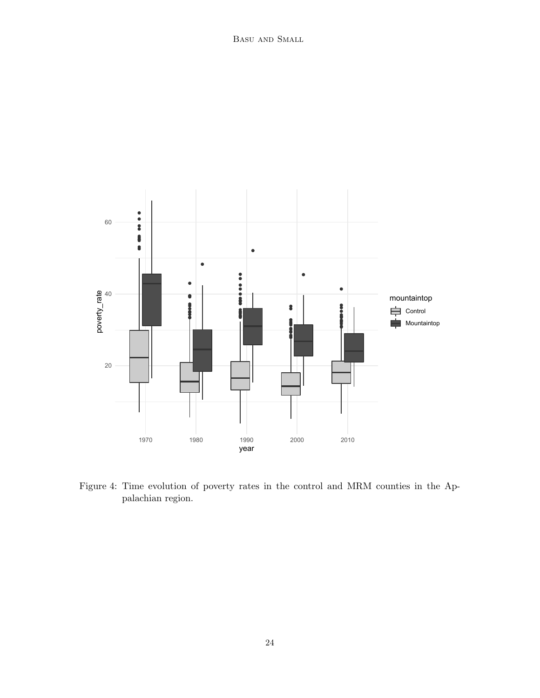

Figure 4: Time evolution of poverty rates in the control and MRM counties in the Appalachian region.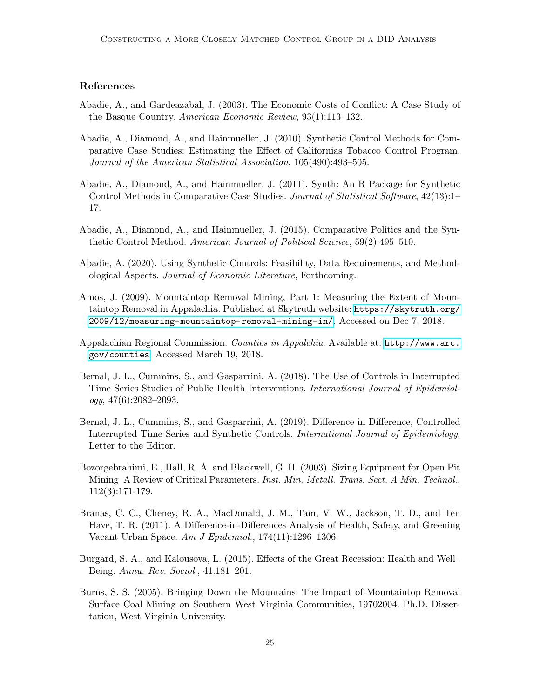## References

- Abadie, A., and Gardeazabal, J. (2003). The Economic Costs of Conflict: A Case Study of the Basque Country. American Economic Review, 93(1):113–132.
- <span id="page-24-4"></span>Abadie, A., Diamond, A., and Hainmueller, J. (2010). Synthetic Control Methods for Comparative Case Studies: Estimating the Effect of Californias Tobacco Control Program. Journal of the American Statistical Association, 105(490):493–505.
- <span id="page-24-5"></span>Abadie, A., Diamond, A., and Hainmueller, J. (2011). Synth: An R Package for Synthetic Control Methods in Comparative Case Studies. Journal of Statistical Software, 42(13):1– 17.
- Abadie, A., Diamond, A., and Hainmueller, J. (2015). Comparative Politics and the Synthetic Control Method. American Journal of Political Science, 59(2):495–510.
- <span id="page-24-6"></span>Abadie, A. (2020). Using Synthetic Controls: Feasibility, Data Requirements, and Methodological Aspects. Journal of Economic Literature, Forthcoming.
- <span id="page-24-0"></span>Amos, J. (2009). Mountaintop Removal Mining, Part 1: Measuring the Extent of Mountaintop Removal in Appalachia. Published at Skytruth website: [https://skytruth.org/](https://skytruth.org/2009/12/measuring-mountaintop-removal-mining-in/) [2009/12/measuring-mountaintop-removal-mining-in/](https://skytruth.org/2009/12/measuring-mountaintop-removal-mining-in/). Accessed on Dec 7, 2018.
- <span id="page-24-9"></span>Appalachian Regional Commission. Counties in Appalchia. Available at: [http://www.arc.](http://www.arc.gov/counties) [gov/counties](http://www.arc.gov/counties). Accessed March 19, 2018.
- <span id="page-24-7"></span>Bernal, J. L., Cummins, S., and Gasparrini, A. (2018). The Use of Controls in Interrupted Time Series Studies of Public Health Interventions. International Journal of Epidemiology, 47(6):2082–2093.
- <span id="page-24-8"></span>Bernal, J. L., Cummins, S., and Gasparrini, A. (2019). Difference in Difference, Controlled Interrupted Time Series and Synthetic Controls. International Journal of Epidemiology, Letter to the Editor.
- <span id="page-24-2"></span>Bozorgebrahimi, E., Hall, R. A. and Blackwell, G. H. (2003). Sizing Equipment for Open Pit Mining–A Review of Critical Parameters. Inst. Min. Metall. Trans. Sect. A Min. Technol., 112(3):171-179.
- <span id="page-24-10"></span>Branas, C. C., Cheney, R. A., MacDonald, J. M., Tam, V. W., Jackson, T. D., and Ten Have, T. R. (2011). A Difference-in-Differences Analysis of Health, Safety, and Greening Vacant Urban Space. Am J Epidemiol., 174(11):1296–1306.
- <span id="page-24-3"></span>Burgard, S. A., and Kalousova, L. (2015). Effects of the Great Recession: Health and Well– Being. Annu. Rev. Sociol., 41:181–201.
- <span id="page-24-1"></span>Burns, S. S. (2005). Bringing Down the Mountains: The Impact of Mountaintop Removal Surface Coal Mining on Southern West Virginia Communities, 19702004. Ph.D. Dissertation, West Virginia University.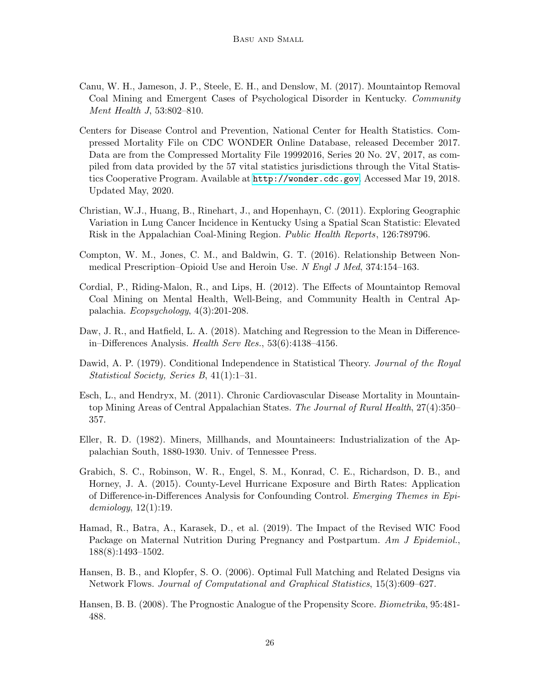- <span id="page-25-3"></span>Canu, W. H., Jameson, J. P., Steele, E. H., and Denslow, M. (2017). Mountaintop Removal Coal Mining and Emergent Cases of Psychological Disorder in Kentucky. Community Ment Health J, 53:802–810.
- Centers for Disease Control and Prevention, National Center for Health Statistics. Compressed Mortality File on CDC WONDER Online Database, released December 2017. Data are from the Compressed Mortality File 19992016, Series 20 No. 2V, 2017, as compiled from data provided by the 57 vital statistics jurisdictions through the Vital Statistics Cooperative Program. Available at <http://wonder.cdc.gov>. Accessed Mar 19, 2018. Updated May, 2020.
- <span id="page-25-2"></span>Christian, W.J., Huang, B., Rinehart, J., and Hopenhayn, C. (2011). Exploring Geographic Variation in Lung Cancer Incidence in Kentucky Using a Spatial Scan Statistic: Elevated Risk in the Appalachian Coal-Mining Region. Public Health Reports, 126:789796.
- <span id="page-25-5"></span>Compton, W. M., Jones, C. M., and Baldwin, G. T. (2016). Relationship Between Nonmedical Prescription–Opioid Use and Heroin Use. N Engl J Med, 374:154–163.
- <span id="page-25-4"></span>Cordial, P., Riding-Malon, R., and Lips, H. (2012). The Effects of Mountaintop Removal Coal Mining on Mental Health, Well-Being, and Community Health in Central Appalachia. Ecopsychology, 4(3):201-208.
- <span id="page-25-6"></span>Daw, J. R., and Hatfield, L. A. (2018). Matching and Regression to the Mean in Differencein–Differences Analysis. Health Serv Res., 53(6):4138–4156.
- <span id="page-25-10"></span>Dawid, A. P. (1979). Conditional Independence in Statistical Theory. Journal of the Royal Statistical Society, Series B, 41(1):1–31.
- <span id="page-25-8"></span>Esch, L., and Hendryx, M. (2011). Chronic Cardiovascular Disease Mortality in Mountaintop Mining Areas of Central Appalachian States. The Journal of Rural Health, 27(4):350– 357.
- <span id="page-25-1"></span>Eller, R. D. (1982). Miners, Millhands, and Mountaineers: Industrialization of the Appalachian South, 1880-1930. Univ. of Tennessee Press.
- <span id="page-25-0"></span>Grabich, S. C., Robinson, W. R., Engel, S. M., Konrad, C. E., Richardson, D. B., and Horney, J. A. (2015). County-Level Hurricane Exposure and Birth Rates: Application of Difference-in-Differences Analysis for Confounding Control. Emerging Themes in Epidemiology, 12(1):19.
- <span id="page-25-11"></span>Hamad, R., Batra, A., Karasek, D., et al. (2019). The Impact of the Revised WIC Food Package on Maternal Nutrition During Pregnancy and Postpartum. Am J Epidemiol., 188(8):1493–1502.
- <span id="page-25-9"></span>Hansen, B. B., and Klopfer, S. O. (2006). Optimal Full Matching and Related Designs via Network Flows. Journal of Computational and Graphical Statistics, 15(3):609–627.
- <span id="page-25-7"></span>Hansen, B. B. (2008). The Prognostic Analogue of the Propensity Score. Biometrika, 95:481- 488.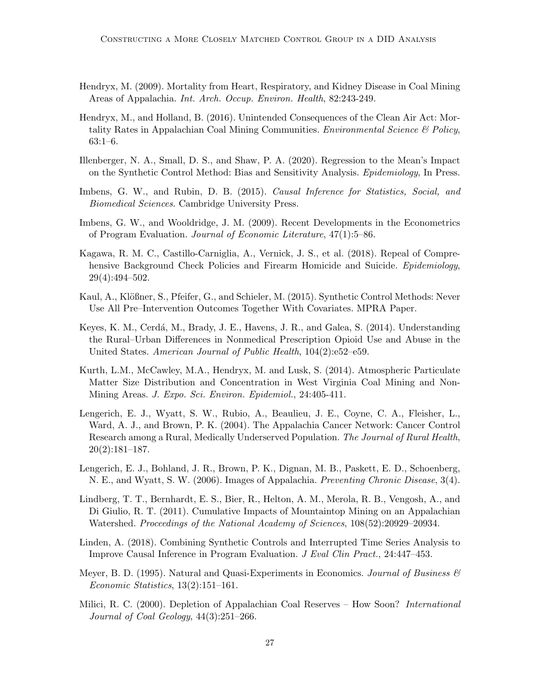- <span id="page-26-4"></span>Hendryx, M. (2009). Mortality from Heart, Respiratory, and Kidney Disease in Coal Mining Areas of Appalachia. Int. Arch. Occup. Environ. Health, 82:243-249.
- <span id="page-26-1"></span>Hendryx, M., and Holland, B. (2016). Unintended Consequences of the Clean Air Act: Mortality Rates in Appalachian Coal Mining Communities. *Environmental Science* & Policy, 63:1–6.
- <span id="page-26-7"></span>Illenberger, N. A., Small, D. S., and Shaw, P. A. (2020). Regression to the Mean's Impact on the Synthetic Control Method: Bias and Sensitivity Analysis. Epidemiology, In Press.
- Imbens, G. W., and Rubin, D. B. (2015). Causal Inference for Statistics, Social, and Biomedical Sciences. Cambridge University Press.
- <span id="page-26-12"></span>Imbens, G. W., and Wooldridge, J. M. (2009). Recent Developments in the Econometrics of Program Evaluation. Journal of Economic Literature, 47(1):5–86.
- <span id="page-26-13"></span>Kagawa, R. M. C., Castillo-Carniglia, A., Vernick, J. S., et al. (2018). Repeal of Comprehensive Background Check Policies and Firearm Homicide and Suicide. Epidemiology, 29(4):494–502.
- <span id="page-26-8"></span>Kaul, A., Klößner, S., Pfeifer, G., and Schieler, M. (2015). Synthetic Control Methods: Never Use All Pre–Intervention Outcomes Together With Covariates. MPRA Paper.
- <span id="page-26-6"></span>Keyes, K. M., Cerdá, M., Brady, J. E., Havens, J. R., and Galea, S. (2014). Understanding the Rural–Urban Differences in Nonmedical Prescription Opioid Use and Abuse in the United States. American Journal of Public Health, 104(2):e52–e59.
- <span id="page-26-5"></span>Kurth, L.M., McCawley, M.A., Hendryx, M. and Lusk, S. (2014). Atmospheric Particulate Matter Size Distribution and Concentration in West Virginia Coal Mining and Non-Mining Areas. J. Expo. Sci. Environ. Epidemiol., 24:405-411.
- <span id="page-26-10"></span>Lengerich, E. J., Wyatt, S. W., Rubio, A., Beaulieu, J. E., Coyne, C. A., Fleisher, L., Ward, A. J., and Brown, P. K. (2004). The Appalachia Cancer Network: Cancer Control Research among a Rural, Medically Underserved Population. The Journal of Rural Health, 20(2):181–187.
- <span id="page-26-11"></span>Lengerich, E. J., Bohland, J. R., Brown, P. K., Dignan, M. B., Paskett, E. D., Schoenberg, N. E., and Wyatt, S. W. (2006). Images of Appalachia. Preventing Chronic Disease, 3(4).
- <span id="page-26-0"></span>Lindberg, T. T., Bernhardt, E. S., Bier, R., Helton, A. M., Merola, R. B., Vengosh, A., and Di Giulio, R. T. (2011). Cumulative Impacts of Mountaintop Mining on an Appalachian Watershed. Proceedings of the National Academy of Sciences, 108(52):20929–20934.
- <span id="page-26-9"></span>Linden, A. (2018). Combining Synthetic Controls and Interrupted Time Series Analysis to Improve Causal Inference in Program Evaluation. J Eval Clin Pract., 24:447–453.
- <span id="page-26-3"></span>Meyer, B. D. (1995). Natural and Quasi-Experiments in Economics. Journal of Business  $\mathscr$ Economic Statistics, 13(2):151–161.
- <span id="page-26-2"></span>Milici, R. C. (2000). Depletion of Appalachian Coal Reserves – How Soon? *International* Journal of Coal Geology, 44(3):251–266.